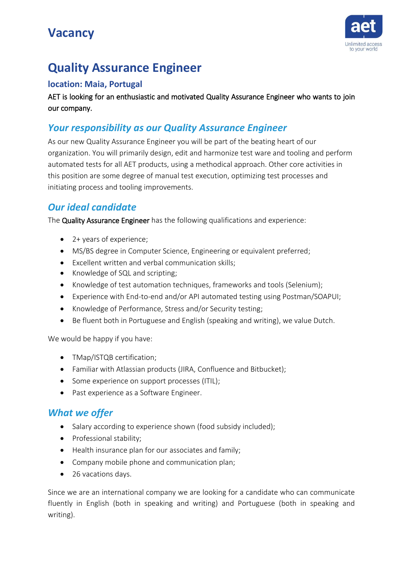### **Vacancy**



## **Quality Assurance Engineer**

#### **location: Maia, Portugal**

AET is looking for an enthusiastic and motivated Quality Assurance Engineer who wants to join our company.

#### *Your responsibility as our Quality Assurance Engineer*

As our new Quality AssuranceEngineer you will be part of the beating heart of our organization. You will primarily design, edit and harmonize test ware and tooling and perform automated tests for all AET products, using a methodical approach. Other core activities in this position are some degree of manual test execution, optimizing test processes and initiating process and tooling improvements.

### *Our ideal candidate*

The Quality Assurance Engineer has the following qualifications and experience:

- 2+ years of experience;
- MS/BS degree in Computer Science, Engineering or equivalent preferred;
- Excellent written and verbal communication skills;
- Knowledge of SQL and scripting;
- Knowledge of test automation techniques, frameworks and tools (Selenium);
- Experience with End-to-end and/or API automated testing using Postman/SOAPUI;
- Knowledge of Performance, Stress and/or Security testing;
- Be fluent both in Portuguese and English (speaking and writing), we value Dutch.

We would be happy if you have:

- TMap/ISTQB certification;
- Familiar with Atlassian products (JIRA, Confluence and Bitbucket);
- Some experience on support processes (ITIL);
- Past experience as a Software Engineer.

### *What we offer*

- Salary according to experience shown (food subsidy included);
- Professional stability;
- Health insurance plan for our associates and family;
- Company mobile phone and communication plan;
- 26 vacations days.

Since we are an international company we are looking for a candidate who can communicate fluently in English (both in speaking and writing) and Portuguese (both in speaking and writing).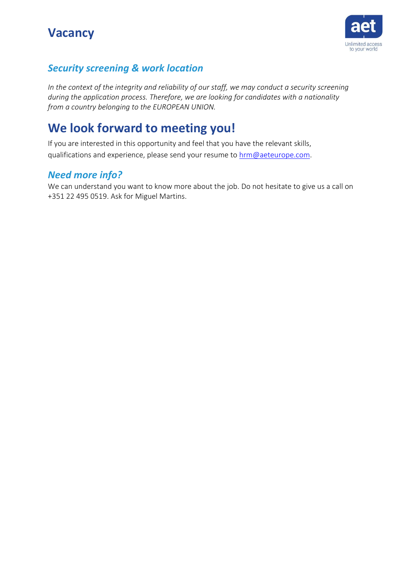### **Vacancy**



### *Security screening & work location*

*In the context of the integrity and reliability of our staff, we may conduct a security screening during the application process. Therefore, we are looking for candidates with a nationality from a country belonging to the EUROPEAN UNION.*

### **We look forward to meeting you!**

If you are interested in this opportunity and feel that you have the relevant skills, qualifications and experience, please send your resume to [hrm@aeteurope.com.](mailto:hrm@aeteurope.com)

### *Need more info?*

We can understand you want to know more about the job. Do not hesitate to give us a call on +351 22 495 0519. Ask for Miguel Martins.